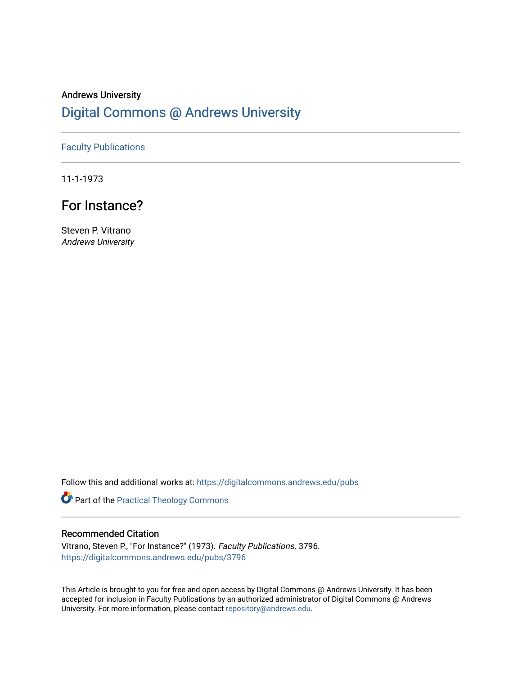## Andrews University [Digital Commons @ Andrews University](https://digitalcommons.andrews.edu/)

### [Faculty Publications](https://digitalcommons.andrews.edu/pubs)

11-1-1973

## For Instance?

Steven P. Vitrano Andrews University

Follow this and additional works at: [https://digitalcommons.andrews.edu/pubs](https://digitalcommons.andrews.edu/pubs?utm_source=digitalcommons.andrews.edu%2Fpubs%2F3796&utm_medium=PDF&utm_campaign=PDFCoverPages) 

Part of the [Practical Theology Commons](http://network.bepress.com/hgg/discipline/1186?utm_source=digitalcommons.andrews.edu%2Fpubs%2F3796&utm_medium=PDF&utm_campaign=PDFCoverPages)

### Recommended Citation

Vitrano, Steven P., "For Instance?" (1973). Faculty Publications. 3796. [https://digitalcommons.andrews.edu/pubs/3796](https://digitalcommons.andrews.edu/pubs/3796?utm_source=digitalcommons.andrews.edu%2Fpubs%2F3796&utm_medium=PDF&utm_campaign=PDFCoverPages) 

This Article is brought to you for free and open access by Digital Commons @ Andrews University. It has been accepted for inclusion in Faculty Publications by an authorized administrator of Digital Commons @ Andrews University. For more information, please contact [repository@andrews.edu](mailto:repository@andrews.edu).